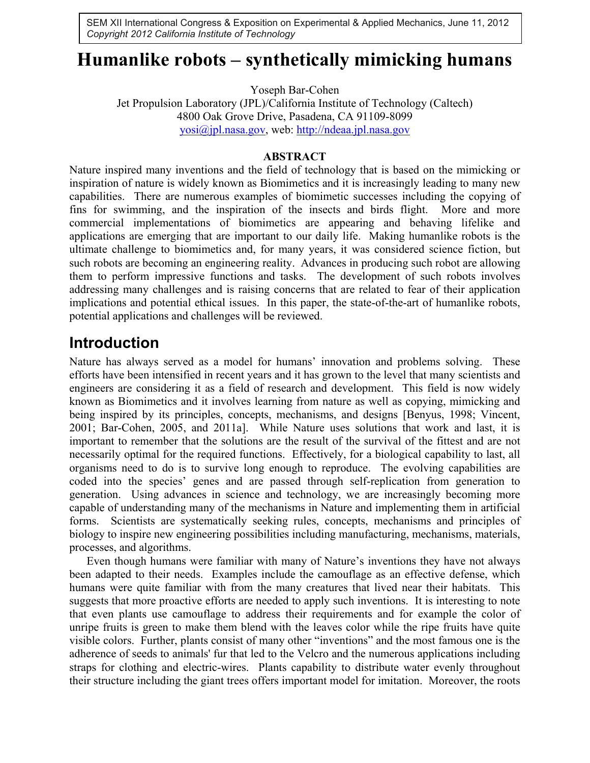SEM XII International Congress & Exposition on Experimental & Applied Mechanics, June 11, 2012 *Copyright 2012 California Institute of Technology*

# **Humanlike robots – synthetically mimicking humans**

Yoseph Bar-Cohen

Jet Propulsion Laboratory (JPL)/California Institute of Technology (Caltech) 4800 Oak Grove Drive, Pasadena, CA 91109-8099 yosi@jpl.nasa.gov, web: http://ndeaa.jpl.nasa.gov

#### **ABSTRACT**

Nature inspired many inventions and the field of technology that is based on the mimicking or inspiration of nature is widely known as Biomimetics and it is increasingly leading to many new capabilities. There are numerous examples of biomimetic successes including the copying of fins for swimming, and the inspiration of the insects and birds flight. More and more commercial implementations of biomimetics are appearing and behaving lifelike and applications are emerging that are important to our daily life. Making humanlike robots is the ultimate challenge to biomimetics and, for many years, it was considered science fiction, but such robots are becoming an engineering reality. Advances in producing such robot are allowing them to perform impressive functions and tasks. The development of such robots involves addressing many challenges and is raising concerns that are related to fear of their application implications and potential ethical issues. In this paper, the state-of-the-art of humanlike robots, potential applications and challenges will be reviewed.

### **Introduction**

Nature has always served as a model for humans' innovation and problems solving. These efforts have been intensified in recent years and it has grown to the level that many scientists and engineers are considering it as a field of research and development. This field is now widely known as Biomimetics and it involves learning from nature as well as copying, mimicking and being inspired by its principles, concepts, mechanisms, and designs [Benyus, 1998; Vincent, 2001; Bar-Cohen, 2005, and 2011a]. While Nature uses solutions that work and last, it is important to remember that the solutions are the result of the survival of the fittest and are not necessarily optimal for the required functions. Effectively, for a biological capability to last, all organisms need to do is to survive long enough to reproduce. The evolving capabilities are coded into the species' genes and are passed through self-replication from generation to generation. Using advances in science and technology, we are increasingly becoming more capable of understanding many of the mechanisms in Nature and implementing them in artificial forms. Scientists are systematically seeking rules, concepts, mechanisms and principles of biology to inspire new engineering possibilities including manufacturing, mechanisms, materials, processes, and algorithms.

Even though humans were familiar with many of Nature's inventions they have not always been adapted to their needs. Examples include the camouflage as an effective defense, which humans were quite familiar with from the many creatures that lived near their habitats. This suggests that more proactive efforts are needed to apply such inventions. It is interesting to note that even plants use camouflage to address their requirements and for example the color of unripe fruits is green to make them blend with the leaves color while the ripe fruits have quite visible colors. Further, plants consist of many other "inventions" and the most famous one is the adherence of seeds to animals' fur that led to the Velcro and the numerous applications including straps for clothing and electric-wires. Plants capability to distribute water evenly throughout their structure including the giant trees offers important model for imitation. Moreover, the roots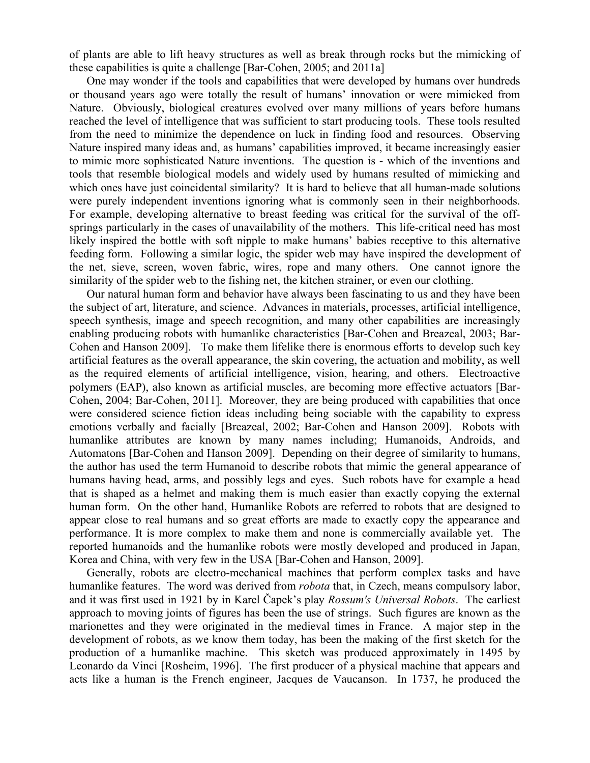of plants are able to lift heavy structures as well as break through rocks but the mimicking of these capabilities is quite a challenge [Bar-Cohen, 2005; and 2011a]

One may wonder if the tools and capabilities that were developed by humans over hundreds or thousand years ago were totally the result of humans' innovation or were mimicked from Nature. Obviously, biological creatures evolved over many millions of years before humans reached the level of intelligence that was sufficient to start producing tools. These tools resulted from the need to minimize the dependence on luck in finding food and resources. Observing Nature inspired many ideas and, as humans' capabilities improved, it became increasingly easier to mimic more sophisticated Nature inventions. The question is - which of the inventions and tools that resemble biological models and widely used by humans resulted of mimicking and which ones have just coincidental similarity? It is hard to believe that all human-made solutions were purely independent inventions ignoring what is commonly seen in their neighborhoods. For example, developing alternative to breast feeding was critical for the survival of the offsprings particularly in the cases of unavailability of the mothers. This life-critical need has most likely inspired the bottle with soft nipple to make humans' babies receptive to this alternative feeding form. Following a similar logic, the spider web may have inspired the development of the net, sieve, screen, woven fabric, wires, rope and many others. One cannot ignore the similarity of the spider web to the fishing net, the kitchen strainer, or even our clothing.

Our natural human form and behavior have always been fascinating to us and they have been the subject of art, literature, and science. Advances in materials, processes, artificial intelligence, speech synthesis, image and speech recognition, and many other capabilities are increasingly enabling producing robots with humanlike characteristics [Bar-Cohen and Breazeal, 2003; Bar-Cohen and Hanson 2009]. To make them lifelike there is enormous efforts to develop such key artificial features as the overall appearance, the skin covering, the actuation and mobility, as well as the required elements of artificial intelligence, vision, hearing, and others. Electroactive polymers (EAP), also known as artificial muscles, are becoming more effective actuators [Bar-Cohen, 2004; Bar-Cohen, 2011]. Moreover, they are being produced with capabilities that once were considered science fiction ideas including being sociable with the capability to express emotions verbally and facially [Breazeal, 2002; Bar-Cohen and Hanson 2009]. Robots with humanlike attributes are known by many names including; Humanoids, Androids, and Automatons [Bar-Cohen and Hanson 2009]. Depending on their degree of similarity to humans, the author has used the term Humanoid to describe robots that mimic the general appearance of humans having head, arms, and possibly legs and eyes. Such robots have for example a head that is shaped as a helmet and making them is much easier than exactly copying the external human form. On the other hand, Humanlike Robots are referred to robots that are designed to appear close to real humans and so great efforts are made to exactly copy the appearance and performance. It is more complex to make them and none is commercially available yet. The reported humanoids and the humanlike robots were mostly developed and produced in Japan, Korea and China, with very few in the USA [Bar-Cohen and Hanson, 2009].

Generally, robots are electro-mechanical machines that perform complex tasks and have humanlike features. The word was derived from *robota* that, in Czech, means compulsory labor, and it was first used in 1921 by in Karel Čapek's play *Rossum's Universal Robots*. The earliest approach to moving joints of figures has been the use of strings. Such figures are known as the marionettes and they were originated in the medieval times in France. A major step in the development of robots, as we know them today, has been the making of the first sketch for the production of a humanlike machine. This sketch was produced approximately in 1495 by Leonardo da Vinci [Rosheim, 1996]. The first producer of a physical machine that appears and acts like a human is the French engineer, Jacques de Vaucanson. In 1737, he produced the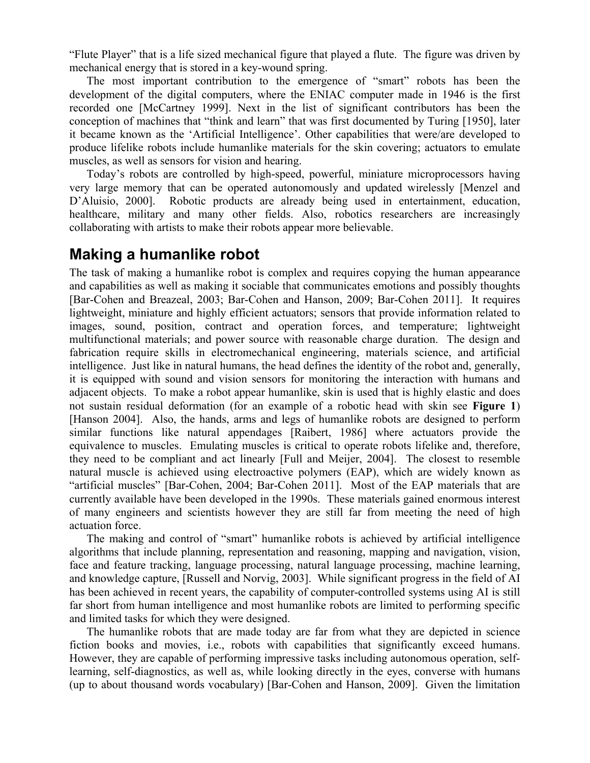"Flute Player" that is a life sized mechanical figure that played a flute. The figure was driven by mechanical energy that is stored in a key-wound spring.

The most important contribution to the emergence of "smart" robots has been the development of the digital computers, where the ENIAC computer made in 1946 is the first recorded one [McCartney 1999]. Next in the list of significant contributors has been the conception of machines that "think and learn" that was first documented by Turing [1950], later it became known as the 'Artificial Intelligence'. Other capabilities that were/are developed to produce lifelike robots include humanlike materials for the skin covering; actuators to emulate muscles, as well as sensors for vision and hearing.

Today's robots are controlled by high-speed, powerful, miniature microprocessors having very large memory that can be operated autonomously and updated wirelessly [Menzel and D'Aluisio, 2000]. Robotic products are already being used in entertainment, education, healthcare, military and many other fields. Also, robotics researchers are increasingly collaborating with artists to make their robots appear more believable.

# **Making a humanlike robot**

The task of making a humanlike robot is complex and requires copying the human appearance and capabilities as well as making it sociable that communicates emotions and possibly thoughts [Bar-Cohen and Breazeal, 2003; Bar-Cohen and Hanson, 2009; Bar-Cohen 2011]. It requires lightweight, miniature and highly efficient actuators; sensors that provide information related to images, sound, position, contract and operation forces, and temperature; lightweight multifunctional materials; and power source with reasonable charge duration. The design and fabrication require skills in electromechanical engineering, materials science, and artificial intelligence. Just like in natural humans, the head defines the identity of the robot and, generally, it is equipped with sound and vision sensors for monitoring the interaction with humans and adjacent objects. To make a robot appear humanlike, skin is used that is highly elastic and does not sustain residual deformation (for an example of a robotic head with skin see **Figure 1**) [Hanson 2004]. Also, the hands, arms and legs of humanlike robots are designed to perform similar functions like natural appendages [Raibert, 1986] where actuators provide the equivalence to muscles. Emulating muscles is critical to operate robots lifelike and, therefore, they need to be compliant and act linearly [Full and Meijer, 2004]. The closest to resemble natural muscle is achieved using electroactive polymers (EAP), which are widely known as "artificial muscles" [Bar-Cohen, 2004; Bar-Cohen 2011]. Most of the EAP materials that are currently available have been developed in the 1990s. These materials gained enormous interest of many engineers and scientists however they are still far from meeting the need of high actuation force.

The making and control of "smart" humanlike robots is achieved by artificial intelligence algorithms that include planning, representation and reasoning, mapping and navigation, vision, face and feature tracking, language processing, natural language processing, machine learning, and knowledge capture, [Russell and Norvig, 2003]. While significant progress in the field of AI has been achieved in recent years, the capability of computer-controlled systems using AI is still far short from human intelligence and most humanlike robots are limited to performing specific and limited tasks for which they were designed.

The humanlike robots that are made today are far from what they are depicted in science fiction books and movies, i.e., robots with capabilities that significantly exceed humans. However, they are capable of performing impressive tasks including autonomous operation, selflearning, self-diagnostics, as well as, while looking directly in the eyes, converse with humans (up to about thousand words vocabulary) [Bar-Cohen and Hanson, 2009]. Given the limitation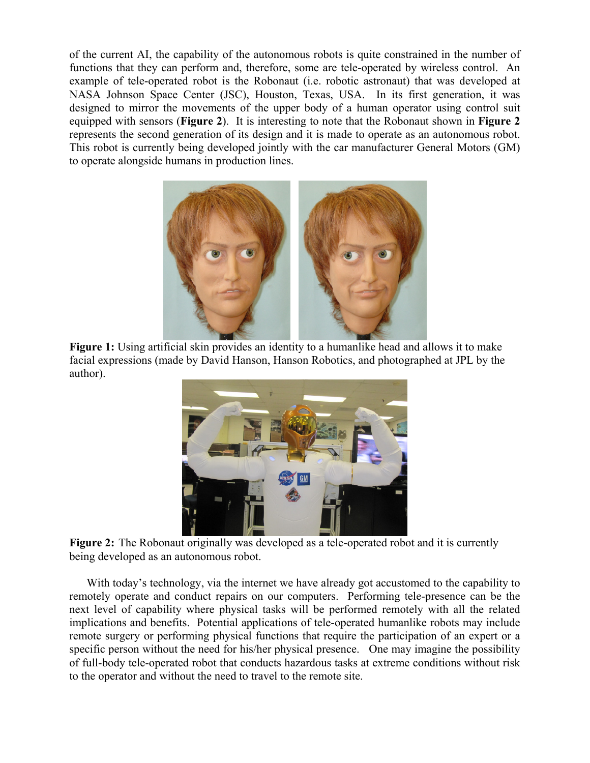of the current AI, the capability of the autonomous robots is quite constrained in the number of functions that they can perform and, therefore, some are tele-operated by wireless control. An example of tele-operated robot is the Robonaut (i.e. robotic astronaut) that was developed at NASA Johnson Space Center (JSC), Houston, Texas, USA. In its first generation, it was designed to mirror the movements of the upper body of a human operator using control suit equipped with sensors (**Figure 2**). It is interesting to note that the Robonaut shown in **Figure 2** represents the second generation of its design and it is made to operate as an autonomous robot. This robot is currently being developed jointly with the car manufacturer General Motors (GM) to operate alongside humans in production lines.



 **Figure 1:** Using artificial skin provides an identity to a humanlike head and allows it to make facial expressions (made by David Hanson, Hanson Robotics, and photographed at JPL by the author).



**Figure 2:** The Robonaut originally was developed as a tele-operated robot and it is currently being developed as an autonomous robot.

With today's technology, via the internet we have already got accustomed to the capability to remotely operate and conduct repairs on our computers. Performing tele-presence can be the next level of capability where physical tasks will be performed remotely with all the related implications and benefits. Potential applications of tele-operated humanlike robots may include remote surgery or performing physical functions that require the participation of an expert or a specific person without the need for his/her physical presence. One may imagine the possibility of full-body tele-operated robot that conducts hazardous tasks at extreme conditions without risk to the operator and without the need to travel to the remote site.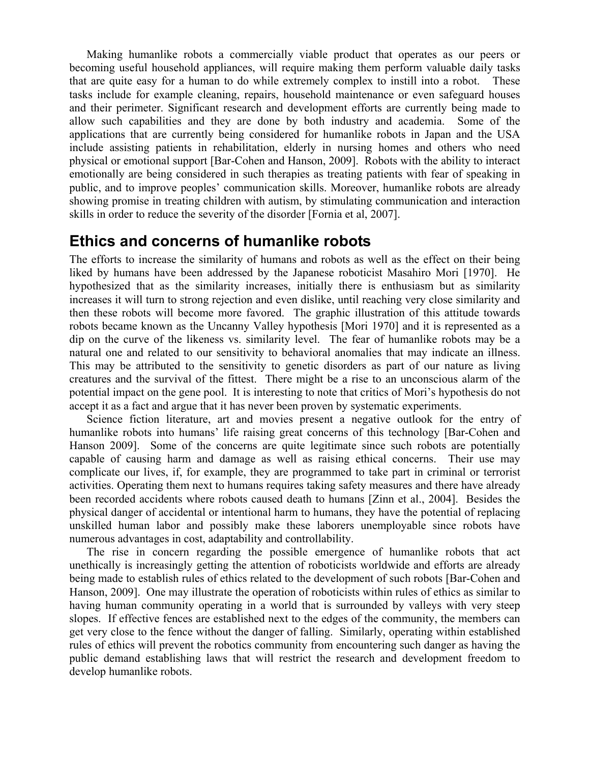Making humanlike robots a commercially viable product that operates as our peers or becoming useful household appliances, will require making them perform valuable daily tasks that are quite easy for a human to do while extremely complex to instill into a robot. These tasks include for example cleaning, repairs, household maintenance or even safeguard houses and their perimeter. Significant research and development efforts are currently being made to allow such capabilities and they are done by both industry and academia. Some of the applications that are currently being considered for humanlike robots in Japan and the USA include assisting patients in rehabilitation, elderly in nursing homes and others who need physical or emotional support [Bar-Cohen and Hanson, 2009]. Robots with the ability to interact emotionally are being considered in such therapies as treating patients with fear of speaking in public, and to improve peoples' communication skills. Moreover, humanlike robots are already showing promise in treating children with autism, by stimulating communication and interaction skills in order to reduce the severity of the disorder [Fornia et al, 2007].

#### **Ethics and concerns of humanlike robots**

The efforts to increase the similarity of humans and robots as well as the effect on their being liked by humans have been addressed by the Japanese roboticist Masahiro Mori [1970]. He hypothesized that as the similarity increases, initially there is enthusiasm but as similarity increases it will turn to strong rejection and even dislike, until reaching very close similarity and then these robots will become more favored. The graphic illustration of this attitude towards robots became known as the Uncanny Valley hypothesis [Mori 1970] and it is represented as a dip on the curve of the likeness vs. similarity level. The fear of humanlike robots may be a natural one and related to our sensitivity to behavioral anomalies that may indicate an illness. This may be attributed to the sensitivity to genetic disorders as part of our nature as living creatures and the survival of the fittest. There might be a rise to an unconscious alarm of the potential impact on the gene pool. It is interesting to note that critics of Mori's hypothesis do not accept it as a fact and argue that it has never been proven by systematic experiments.

Science fiction literature, art and movies present a negative outlook for the entry of humanlike robots into humans' life raising great concerns of this technology [Bar-Cohen and Hanson 2009]. Some of the concerns are quite legitimate since such robots are potentially capable of causing harm and damage as well as raising ethical concerns. Their use may complicate our lives, if, for example, they are programmed to take part in criminal or terrorist activities. Operating them next to humans requires taking safety measures and there have already been recorded accidents where robots caused death to humans [Zinn et al., 2004]. Besides the physical danger of accidental or intentional harm to humans, they have the potential of replacing unskilled human labor and possibly make these laborers unemployable since robots have numerous advantages in cost, adaptability and controllability.

The rise in concern regarding the possible emergence of humanlike robots that act unethically is increasingly getting the attention of roboticists worldwide and efforts are already being made to establish rules of ethics related to the development of such robots [Bar-Cohen and Hanson, 2009]. One may illustrate the operation of roboticists within rules of ethics as similar to having human community operating in a world that is surrounded by valleys with very steep slopes. If effective fences are established next to the edges of the community, the members can get very close to the fence without the danger of falling. Similarly, operating within established rules of ethics will prevent the robotics community from encountering such danger as having the public demand establishing laws that will restrict the research and development freedom to develop humanlike robots.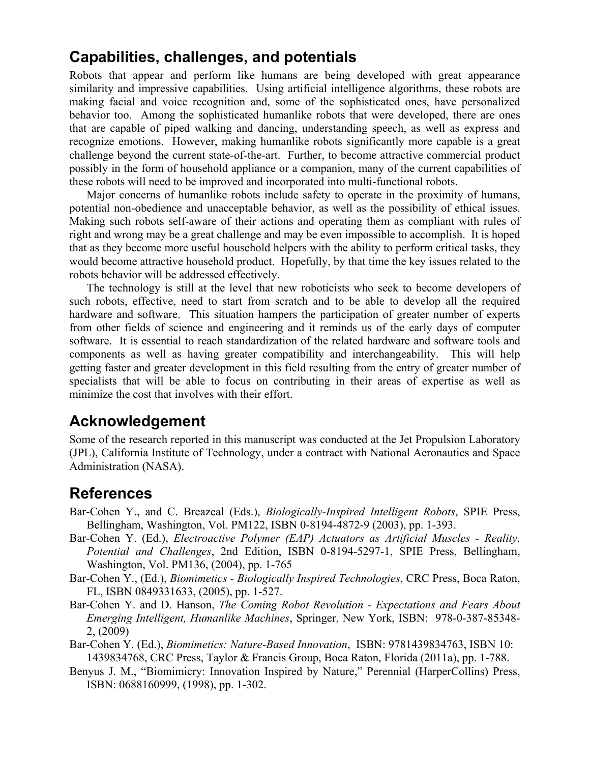# **Capabilities, challenges, and potentials**

Robots that appear and perform like humans are being developed with great appearance similarity and impressive capabilities. Using artificial intelligence algorithms, these robots are making facial and voice recognition and, some of the sophisticated ones, have personalized behavior too. Among the sophisticated humanlike robots that were developed, there are ones that are capable of piped walking and dancing, understanding speech, as well as express and recognize emotions. However, making humanlike robots significantly more capable is a great challenge beyond the current state-of-the-art. Further, to become attractive commercial product possibly in the form of household appliance or a companion, many of the current capabilities of these robots will need to be improved and incorporated into multi-functional robots.

Major concerns of humanlike robots include safety to operate in the proximity of humans, potential non-obedience and unacceptable behavior, as well as the possibility of ethical issues. Making such robots self-aware of their actions and operating them as compliant with rules of right and wrong may be a great challenge and may be even impossible to accomplish. It is hoped that as they become more useful household helpers with the ability to perform critical tasks, they would become attractive household product. Hopefully, by that time the key issues related to the robots behavior will be addressed effectively.

The technology is still at the level that new roboticists who seek to become developers of such robots, effective, need to start from scratch and to be able to develop all the required hardware and software. This situation hampers the participation of greater number of experts from other fields of science and engineering and it reminds us of the early days of computer software. It is essential to reach standardization of the related hardware and software tools and components as well as having greater compatibility and interchangeability. This will help getting faster and greater development in this field resulting from the entry of greater number of specialists that will be able to focus on contributing in their areas of expertise as well as minimize the cost that involves with their effort.

# **Acknowledgement**

Some of the research reported in this manuscript was conducted at the Jet Propulsion Laboratory (JPL), California Institute of Technology, under a contract with National Aeronautics and Space Administration (NASA).

# **References**

- Bar-Cohen Y., and C. Breazeal (Eds.), *Biologically-Inspired Intelligent Robots*, SPIE Press, Bellingham, Washington, Vol. PM122, ISBN 0-8194-4872-9 (2003), pp. 1-393.
- Bar-Cohen Y. (Ed.), *Electroactive Polymer (EAP) Actuators as Artificial Muscles Reality, Potential and Challenges*, 2nd Edition, ISBN 0-8194-5297-1, SPIE Press, Bellingham, Washington, Vol. PM136, (2004), pp. 1-765
- Bar-Cohen Y., (Ed.), *Biomimetics Biologically Inspired Technologies*, CRC Press, Boca Raton, FL, ISBN 0849331633, (2005), pp. 1-527.
- Bar-Cohen Y. and D. Hanson, *The Coming Robot Revolution Expectations and Fears About Emerging Intelligent, Humanlike Machines*, Springer, New York, ISBN: 978-0-387-85348- 2, (2009)
- Bar-Cohen Y. (Ed.), *Biomimetics: Nature-Based Innovation*, ISBN: 9781439834763, ISBN 10: 1439834768, CRC Press, Taylor & Francis Group, Boca Raton, Florida (2011a), pp. 1-788.
- Benyus J. M., "Biomimicry: Innovation Inspired by Nature," Perennial (HarperCollins) Press, ISBN: 0688160999, (1998), pp. 1-302.